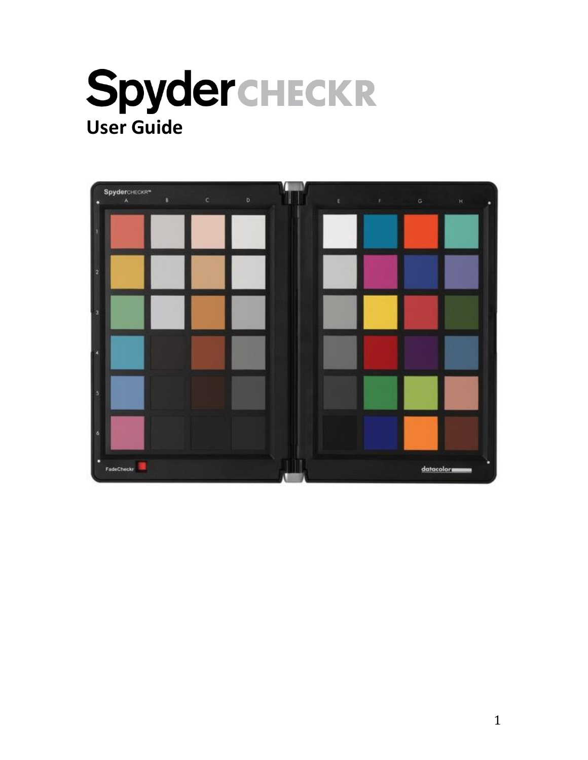

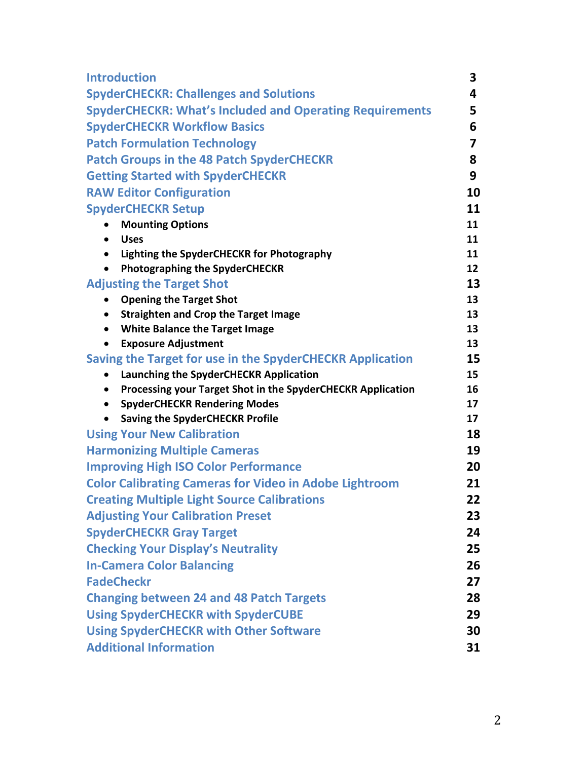| <b>Introduction</b>                                                                                            | 3        |
|----------------------------------------------------------------------------------------------------------------|----------|
| <b>SpyderCHECKR: Challenges and Solutions</b>                                                                  | 4        |
| <b>SpyderCHECKR: What's Included and Operating Requirements</b>                                                | 5        |
| <b>SpyderCHECKR Workflow Basics</b>                                                                            | 6        |
| <b>Patch Formulation Technology</b>                                                                            | 7        |
| <b>Patch Groups in the 48 Patch SpyderCHECKR</b>                                                               | 8        |
| <b>Getting Started with SpyderCHECKR</b>                                                                       | 9        |
| <b>RAW Editor Configuration</b>                                                                                | 10       |
| <b>SpyderCHECKR Setup</b>                                                                                      | 11       |
| <b>Mounting Options</b><br>$\bullet$                                                                           | 11       |
| <b>Uses</b><br>$\bullet$                                                                                       | 11       |
| Lighting the SpyderCHECKR for Photography                                                                      | 11       |
| <b>Photographing the SpyderCHECKR</b><br>$\bullet$                                                             | 12       |
| <b>Adjusting the Target Shot</b>                                                                               | 13       |
| <b>Opening the Target Shot</b><br>$\bullet$                                                                    | 13       |
| <b>Straighten and Crop the Target Image</b><br>$\bullet$<br><b>White Balance the Target Image</b><br>$\bullet$ | 13<br>13 |
| <b>Exposure Adjustment</b><br>$\bullet$                                                                        | 13       |
| Saving the Target for use in the SpyderCHECKR Application                                                      | 15       |
| Launching the SpyderCHECKR Application                                                                         | 15       |
| Processing your Target Shot in the SpyderCHECKR Application<br>$\bullet$                                       | 16       |
| <b>SpyderCHECKR Rendering Modes</b><br>$\bullet$                                                               | 17       |
| <b>Saving the SpyderCHECKR Profile</b>                                                                         | 17       |
| <b>Using Your New Calibration</b>                                                                              | 18       |
| <b>Harmonizing Multiple Cameras</b>                                                                            | 19       |
| <b>Improving High ISO Color Performance</b>                                                                    | 20       |
| <b>Color Calibrating Cameras for Video in Adobe Lightroom</b>                                                  | 21       |
| <b>Creating Multiple Light Source Calibrations</b>                                                             | 22       |
| <b>Adjusting Your Calibration Preset</b>                                                                       | 23       |
| <b>SpyderCHECKR Gray Target</b>                                                                                | 24       |
| <b>Checking Your Display's Neutrality</b>                                                                      | 25       |
| <b>In-Camera Color Balancing</b>                                                                               | 26       |
| <b>FadeCheckr</b>                                                                                              | 27       |
| <b>Changing between 24 and 48 Patch Targets</b>                                                                | 28       |
| <b>Using SpyderCHECKR with SpyderCUBE</b>                                                                      | 29       |
| <b>Using SpyderCHECKR with Other Software</b>                                                                  | 30       |
| <b>Additional Information</b>                                                                                  | 31       |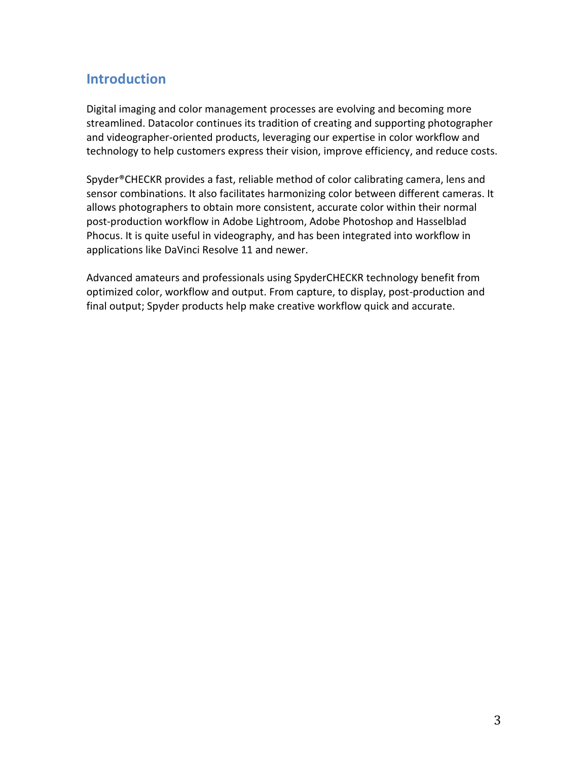### **Introduction**

Digital imaging and color management processes are evolving and becoming more streamlined. Datacolor continues its tradition of creating and supporting photographer and videographer-oriented products, leveraging our expertise in color workflow and technology to help customers express their vision, improve efficiency, and reduce costs.

Spyder®CHECKR provides a fast, reliable method of color calibrating camera, lens and sensor combinations. It also facilitates harmonizing color between different cameras. It allows photographers to obtain more consistent, accurate color within their normal post-production workflow in Adobe Lightroom, Adobe Photoshop and Hasselblad Phocus. It is quite useful in videography, and has been integrated into workflow in applications like DaVinci Resolve 11 and newer.

Advanced amateurs and professionals using SpyderCHECKR technology benefit from optimized color, workflow and output. From capture, to display, post-production and final output; Spyder products help make creative workflow quick and accurate.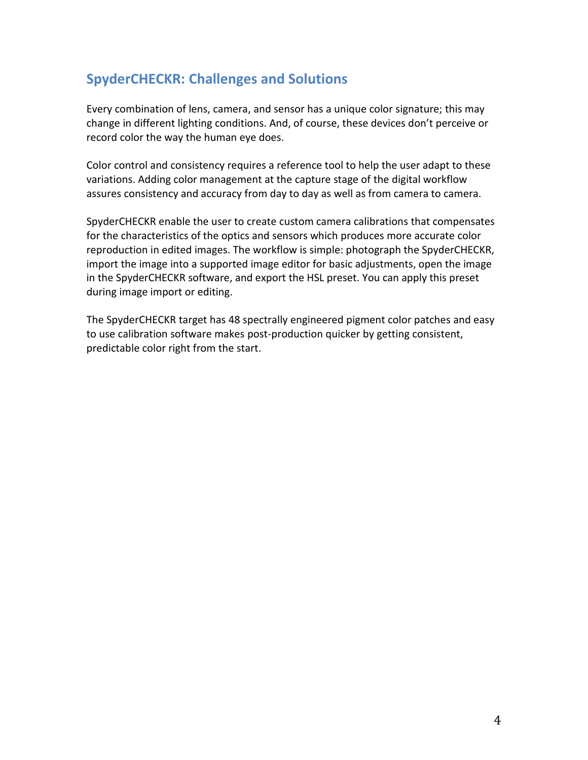## **SpyderCHECKR: Challenges and Solutions**

Every combination of lens, camera, and sensor has a unique color signature; this may change in different lighting conditions. And, of course, these devices don't perceive or record color the way the human eye does.

Color control and consistency requires a reference tool to help the user adapt to these variations. Adding color management at the capture stage of the digital workflow assures consistency and accuracy from day to day as well as from camera to camera.

SpyderCHECKR enable the user to create custom camera calibrations that compensates for the characteristics of the optics and sensors which produces more accurate color reproduction in edited images. The workflow is simple: photograph the SpyderCHECKR, import the image into a supported image editor for basic adjustments, open the image in the SpyderCHECKR software, and export the HSL preset. You can apply this preset during image import or editing.

The SpyderCHECKR target has 48 spectrally engineered pigment color patches and easy to use calibration software makes post-production quicker by getting consistent, predictable color right from the start.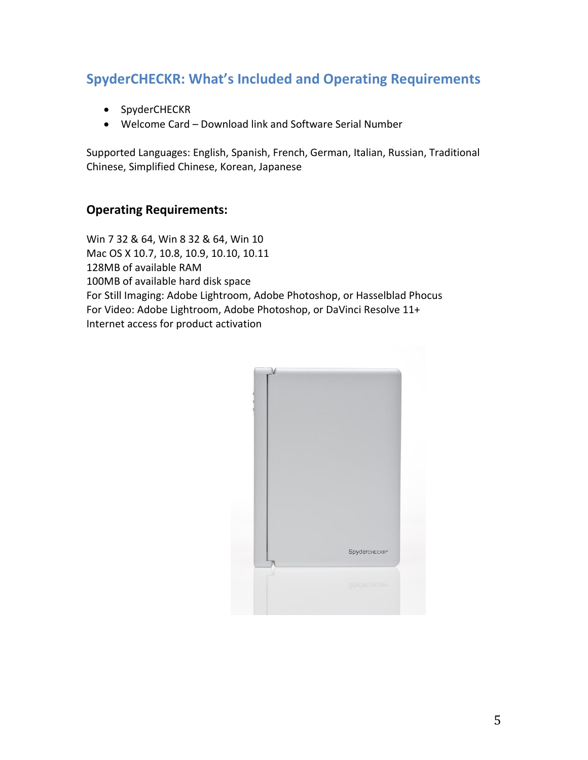# **SpyderCHECKR: What's Included and Operating Requirements**

- SpyderCHECKR
- Welcome Card Download link and Software Serial Number

Supported Languages: English, Spanish, French, German, Italian, Russian, Traditional Chinese, Simplified Chinese, Korean, Japanese

#### **Operating Requirements:**

Win 7 32 & 64, Win 8 32 & 64, Win 10 Mac OS X 10.7, 10.8, 10.9, 10.10, 10.11 128MB of available RAM 100MB of available hard disk space For Still Imaging: Adobe Lightroom, Adobe Photoshop, or Hasselblad Phocus For Video: Adobe Lightroom, Adobe Photoshop, or DaVinci Resolve 11+ Internet access for product activation

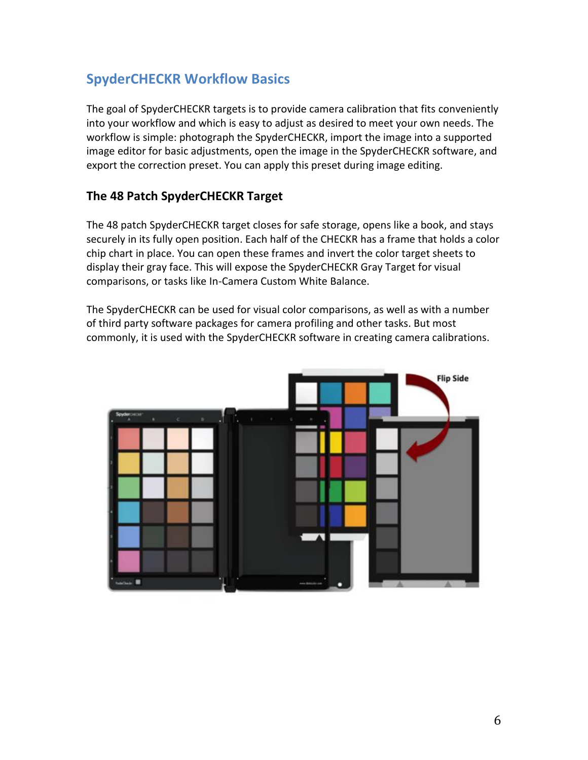## **SpyderCHECKR Workflow Basics**

The goal of SpyderCHECKR targets is to provide camera calibration that fits conveniently into your workflow and which is easy to adjust as desired to meet your own needs. The workflow is simple: photograph the SpyderCHECKR, import the image into a supported image editor for basic adjustments, open the image in the SpyderCHECKR software, and export the correction preset. You can apply this preset during image editing.

### **The 48 Patch SpyderCHECKR Target**

The 48 patch SpyderCHECKR target closes for safe storage, opens like a book, and stays securely in its fully open position. Each half of the CHECKR has a frame that holds a color chip chart in place. You can open these frames and invert the color target sheets to display their gray face. This will expose the SpyderCHECKR Gray Target for visual comparisons, or tasks like In-Camera Custom White Balance.

The SpyderCHECKR can be used for visual color comparisons, as well as with a number of third party software packages for camera profiling and other tasks. But most commonly, it is used with the SpyderCHECKR software in creating camera calibrations.

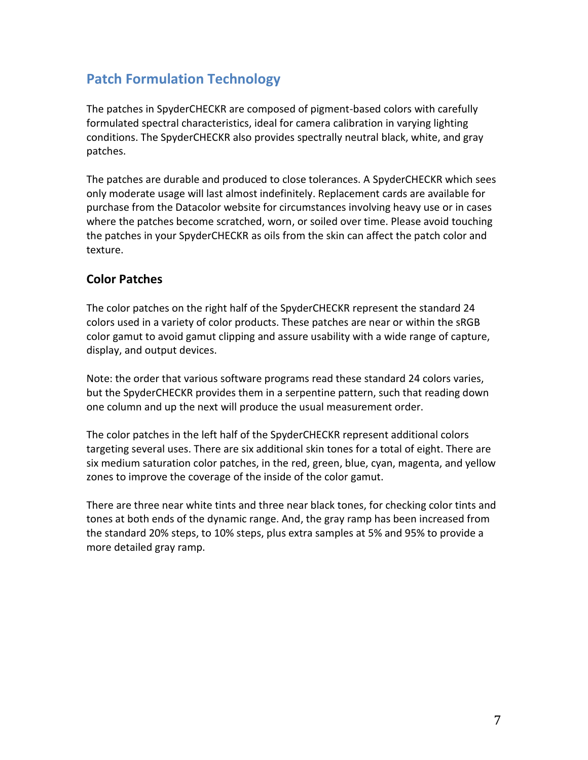## **Patch Formulation Technology**

The patches in SpyderCHECKR are composed of pigment-based colors with carefully formulated spectral characteristics, ideal for camera calibration in varying lighting conditions. The SpyderCHECKR also provides spectrally neutral black, white, and gray patches.

The patches are durable and produced to close tolerances. A SpyderCHECKR which sees only moderate usage will last almost indefinitely. Replacement cards are available for purchase from the Datacolor website for circumstances involving heavy use or in cases where the patches become scratched, worn, or soiled over time. Please avoid touching the patches in your SpyderCHECKR as oils from the skin can affect the patch color and texture.

### **Color Patches**

The color patches on the right half of the SpyderCHECKR represent the standard 24 colors used in a variety of color products. These patches are near or within the sRGB color gamut to avoid gamut clipping and assure usability with a wide range of capture, display, and output devices.

Note: the order that various software programs read these standard 24 colors varies, but the SpyderCHECKR provides them in a serpentine pattern, such that reading down one column and up the next will produce the usual measurement order.

The color patches in the left half of the SpyderCHECKR represent additional colors targeting several uses. There are six additional skin tones for a total of eight. There are six medium saturation color patches, in the red, green, blue, cyan, magenta, and yellow zones to improve the coverage of the inside of the color gamut.

There are three near white tints and three near black tones, for checking color tints and tones at both ends of the dynamic range. And, the gray ramp has been increased from the standard 20% steps, to 10% steps, plus extra samples at 5% and 95% to provide a more detailed gray ramp.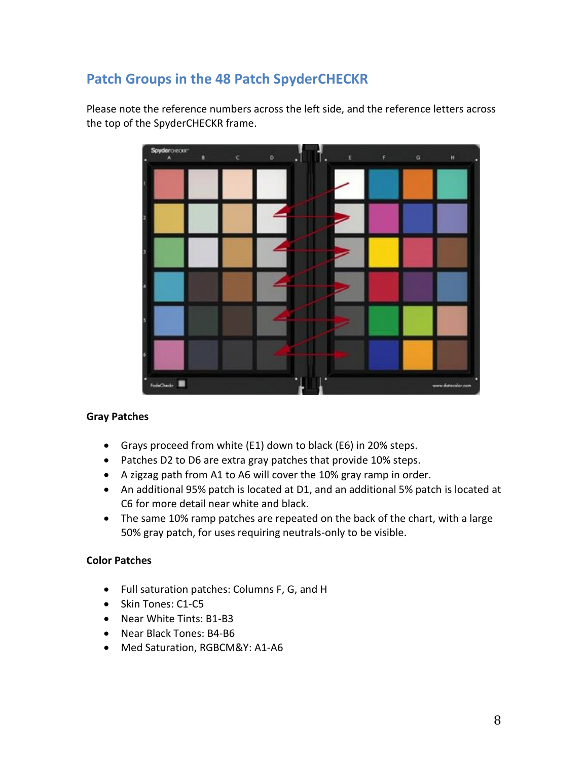# **Patch Groups in the 48 Patch SpyderCHECKR**

Please note the reference numbers across the left side, and the reference letters across the top of the SpyderCHECKR frame.



#### **Gray Patches**

- Grays proceed from white (E1) down to black (E6) in 20% steps.
- Patches D2 to D6 are extra gray patches that provide 10% steps.
- A zigzag path from A1 to A6 will cover the 10% gray ramp in order.
- An additional 95% patch is located at D1, and an additional 5% patch is located at C6 for more detail near white and black.
- The same 10% ramp patches are repeated on the back of the chart, with a large 50% gray patch, for uses requiring neutrals-only to be visible.

#### **Color Patches**

- Full saturation patches: Columns F, G, and H
- Skin Tones: C1-C5
- Near White Tints: B1-B3
- Near Black Tones: B4-B6
- Med Saturation, RGBCM&Y: A1-A6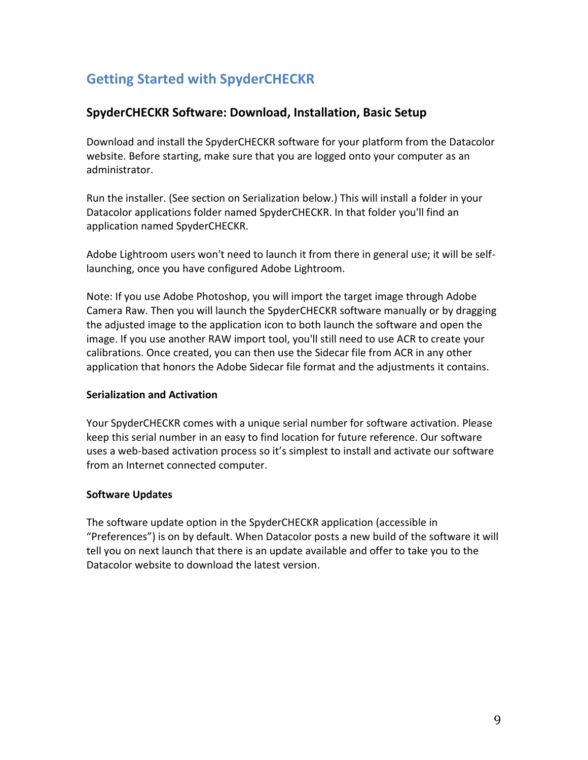# **Getting Started with SpyderCHECKR**

#### **SpyderCHECKR Software: Download, Installation, Basic Setup**

Download and install the SpyderCHECKR software for your platform from the Datacolor website. Before starting, make sure that you are logged onto your computer as an administrator.

Run the installer. (See section on Serialization below.) This will install a folder in your Datacolor applications folder named SpyderCHECKR. In that folder you'll find an application named SpyderCHECKR.

Adobe Lightroom users won't need to launch it from there in general use; it will be selflaunching, once you have configured Adobe Lightroom.

Note: If you use Adobe Photoshop, you will import the target image through Adobe Camera Raw. Then you will launch the SpyderCHECKR software manually or by dragging the adjusted image to the application icon to both launch the software and open the image. If you use another RAW import tool, you'll still need to use ACR to create your calibrations. Once created, you can then use the Sidecar file from ACR in any other application that honors the Adobe Sidecar file format and the adjustments it contains.

#### **Serialization and Activation**

Your SpyderCHECKR comes with a unique serial number for software activation. Please keep this serial number in an easy to find location for future reference. Our software uses a web-based activation process so it's simplest to install and activate our software from an Internet connected computer.

#### **Software Updates**

The software update option in the SpyderCHECKR application (accessible in "Preferences") is on by default. When Datacolor posts a new build of the software it will tell you on next launch that there is an update available and offer to take you to the Datacolor website to download the latest version.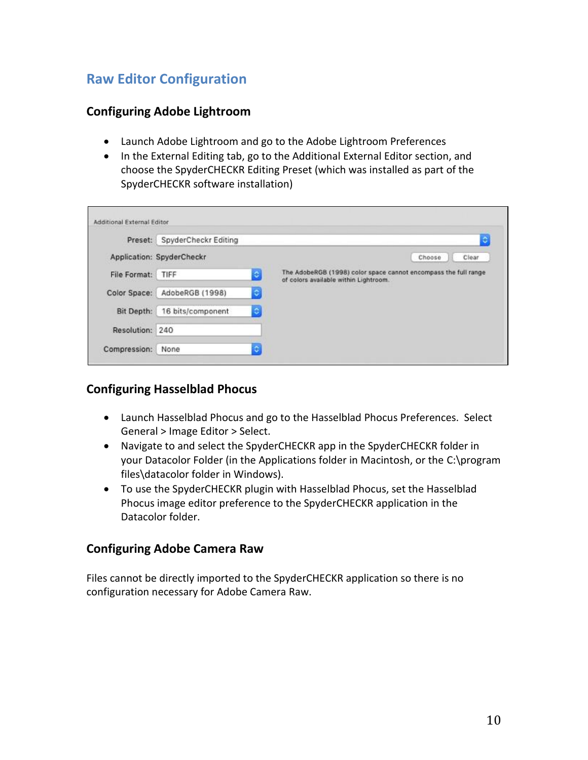# **Raw Editor Configuration**

#### **Configuring Adobe Lightroom**

- Launch Adobe Lightroom and go to the Adobe Lightroom Preferences
- In the External Editing tab, go to the Additional External Editor section, and choose the SpyderCHECKR Editing Preset (which was installed as part of the SpyderCHECKR software installation)

|                   | Preset: SpyderCheckr Editing |                | ٥                                                                                                        |
|-------------------|------------------------------|----------------|----------------------------------------------------------------------------------------------------------|
|                   | Application: SpyderCheckr    |                | Choose<br>Clear                                                                                          |
| File Format: TIFF |                              | $\circ$        | The AdobeRGB (1998) color space cannot encompass the full range<br>of colors available within Lightroom. |
|                   | Color Space: AdobeRGB (1998) | $\ddot{\circ}$ |                                                                                                          |
| Bit Depth:        | 16 bits/component            | ٠              |                                                                                                          |
|                   |                              |                |                                                                                                          |

#### **Configuring Hasselblad Phocus**

- Launch Hasselblad Phocus and go to the Hasselblad Phocus Preferences. Select General > Image Editor > Select.
- Navigate to and select the SpyderCHECKR app in the SpyderCHECKR folder in your Datacolor Folder (in the Applications folder in Macintosh, or the C:\program files\datacolor folder in Windows).
- To use the SpyderCHECKR plugin with Hasselblad Phocus, set the Hasselblad Phocus image editor preference to the SpyderCHECKR application in the Datacolor folder.

#### **Configuring Adobe Camera Raw**

Files cannot be directly imported to the SpyderCHECKR application so there is no configuration necessary for Adobe Camera Raw.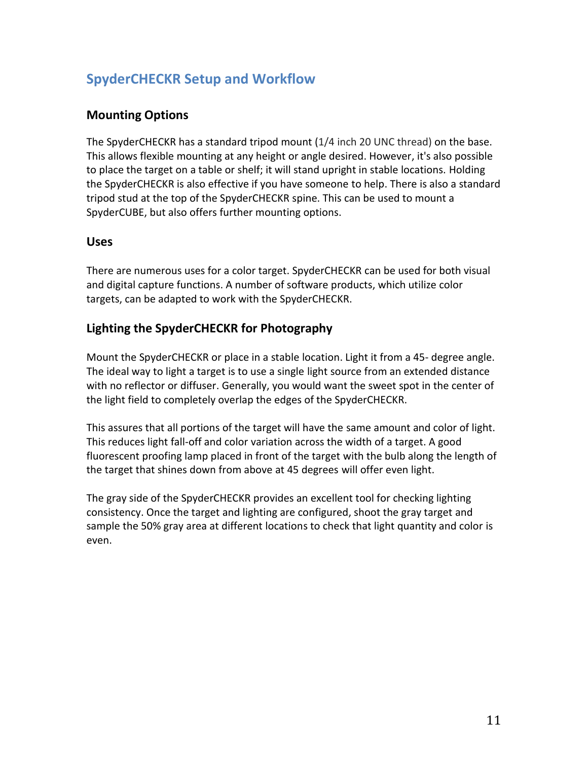# **SpyderCHECKR Setup and Workflow**

### **Mounting Options**

The SpyderCHECKR has a standard tripod mount (1/4 inch 20 UNC thread) on the base. This allows flexible mounting at any height or angle desired. However, it's also possible to place the target on a table or shelf; it will stand upright in stable locations. Holding the SpyderCHECKR is also effective if you have someone to help. There is also a standard tripod stud at the top of the SpyderCHECKR spine. This can be used to mount a SpyderCUBE, but also offers further mounting options.

#### **Uses**

There are numerous uses for a color target. SpyderCHECKR can be used for both visual and digital capture functions. A number of software products, which utilize color targets, can be adapted to work with the SpyderCHECKR.

### **Lighting the SpyderCHECKR for Photography**

Mount the SpyderCHECKR or place in a stable location. Light it from a 45- degree angle. The ideal way to light a target is to use a single light source from an extended distance with no reflector or diffuser. Generally, you would want the sweet spot in the center of the light field to completely overlap the edges of the SpyderCHECKR.

This assures that all portions of the target will have the same amount and color of light. This reduces light fall-off and color variation across the width of a target. A good fluorescent proofing lamp placed in front of the target with the bulb along the length of the target that shines down from above at 45 degrees will offer even light.

The gray side of the SpyderCHECKR provides an excellent tool for checking lighting consistency. Once the target and lighting are configured, shoot the gray target and sample the 50% gray area at different locations to check that light quantity and color is even.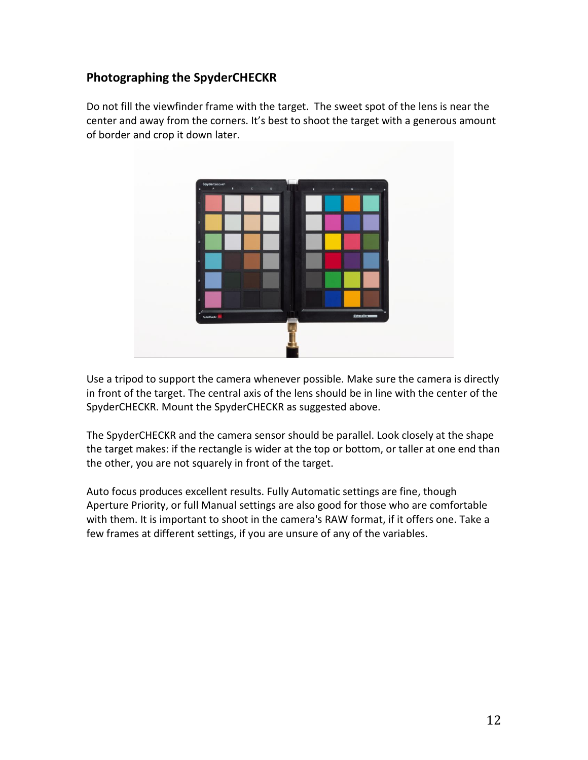### **Photographing the SpyderCHECKR**

Do not fill the viewfinder frame with the target. The sweet spot of the lens is near the center and away from the corners. It's best to shoot the target with a generous amount of border and crop it down later.



Use a tripod to support the camera whenever possible. Make sure the camera is directly in front of the target. The central axis of the lens should be in line with the center of the SpyderCHECKR. Mount the SpyderCHECKR as suggested above.

The SpyderCHECKR and the camera sensor should be parallel. Look closely at the shape the target makes: if the rectangle is wider at the top or bottom, or taller at one end than the other, you are not squarely in front of the target.

Auto focus produces excellent results. Fully Automatic settings are fine, though Aperture Priority, or full Manual settings are also good for those who are comfortable with them. It is important to shoot in the camera's RAW format, if it offers one. Take a few frames at different settings, if you are unsure of any of the variables.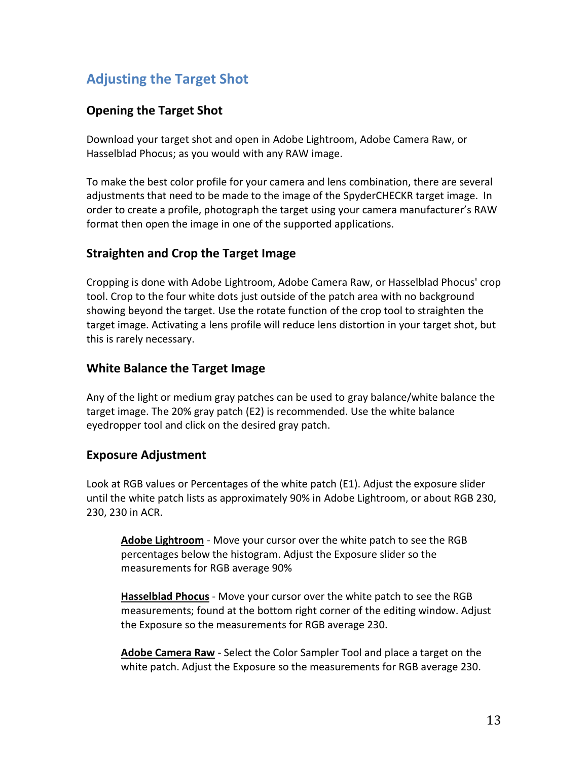# **Adjusting the Target Shot**

### **Opening the Target Shot**

Download your target shot and open in Adobe Lightroom, Adobe Camera Raw, or Hasselblad Phocus; as you would with any RAW image.

To make the best color profile for your camera and lens combination, there are several adjustments that need to be made to the image of the SpyderCHECKR target image. In order to create a profile, photograph the target using your camera manufacturer's RAW format then open the image in one of the supported applications.

#### **Straighten and Crop the Target Image**

Cropping is done with Adobe Lightroom, Adobe Camera Raw, or Hasselblad Phocus' crop tool. Crop to the four white dots just outside of the patch area with no background showing beyond the target. Use the rotate function of the crop tool to straighten the target image. Activating a lens profile will reduce lens distortion in your target shot, but this is rarely necessary.

### **White Balance the Target Image**

Any of the light or medium gray patches can be used to gray balance/white balance the target image. The 20% gray patch (E2) is recommended. Use the white balance eyedropper tool and click on the desired gray patch.

#### **Exposure Adjustment**

Look at RGB values or Percentages of the white patch (E1). Adjust the exposure slider until the white patch lists as approximately 90% in Adobe Lightroom, or about RGB 230, 230, 230 in ACR.

**Adobe Lightroom** - Move your cursor over the white patch to see the RGB percentages below the histogram. Adjust the Exposure slider so the measurements for RGB average 90%

**Hasselblad Phocus** - Move your cursor over the white patch to see the RGB measurements; found at the bottom right corner of the editing window. Adjust the Exposure so the measurements for RGB average 230.

**Adobe Camera Raw** - Select the Color Sampler Tool and place a target on the white patch. Adjust the Exposure so the measurements for RGB average 230.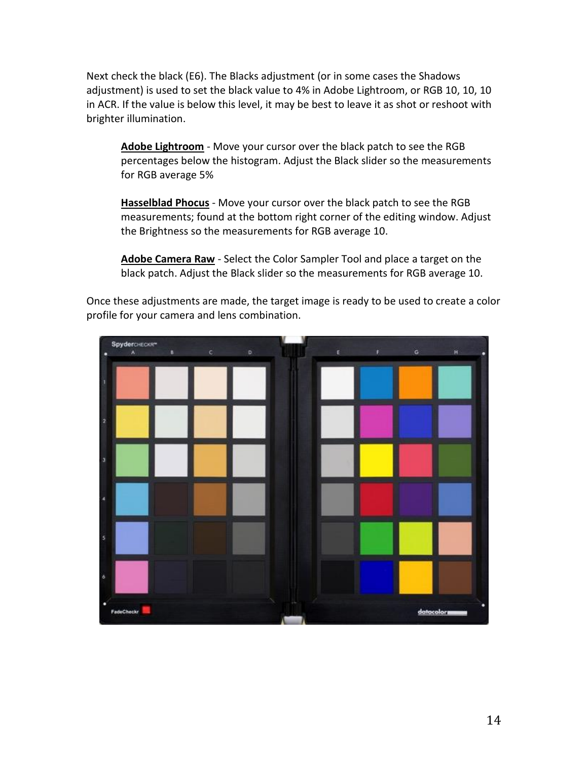Next check the black (E6). The Blacks adjustment (or in some cases the Shadows adjustment) is used to set the black value to 4% in Adobe Lightroom, or RGB 10, 10, 10 in ACR. If the value is below this level, it may be best to leave it as shot or reshoot with brighter illumination.

**Adobe Lightroom** - Move your cursor over the black patch to see the RGB percentages below the histogram. Adjust the Black slider so the measurements for RGB average 5%

**Hasselblad Phocus** - Move your cursor over the black patch to see the RGB measurements; found at the bottom right corner of the editing window. Adjust the Brightness so the measurements for RGB average 10.

**Adobe Camera Raw** - Select the Color Sampler Tool and place a target on the black patch. Adjust the Black slider so the measurements for RGB average 10.

Once these adjustments are made, the target image is ready to be used to create a color profile for your camera and lens combination.

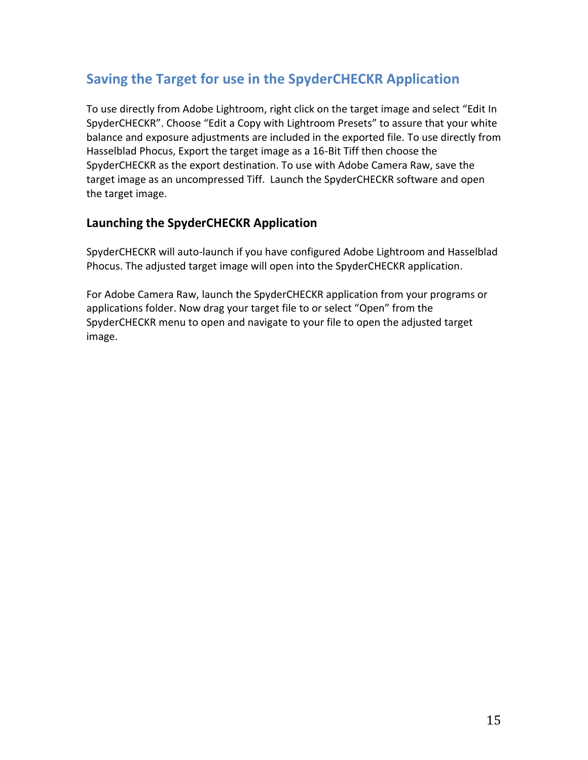# **Saving the Target for use in the SpyderCHECKR Application**

To use directly from Adobe Lightroom, right click on the target image and select "Edit In SpyderCHECKR". Choose "Edit a Copy with Lightroom Presets" to assure that your white balance and exposure adjustments are included in the exported file. To use directly from Hasselblad Phocus, Export the target image as a 16-Bit Tiff then choose the SpyderCHECKR as the export destination. To use with Adobe Camera Raw, save the target image as an uncompressed Tiff. Launch the SpyderCHECKR software and open the target image.

#### **Launching the SpyderCHECKR Application**

SpyderCHECKR will auto-launch if you have configured Adobe Lightroom and Hasselblad Phocus. The adjusted target image will open into the SpyderCHECKR application.

For Adobe Camera Raw, launch the SpyderCHECKR application from your programs or applications folder. Now drag your target file to or select "Open" from the SpyderCHECKR menu to open and navigate to your file to open the adjusted target image.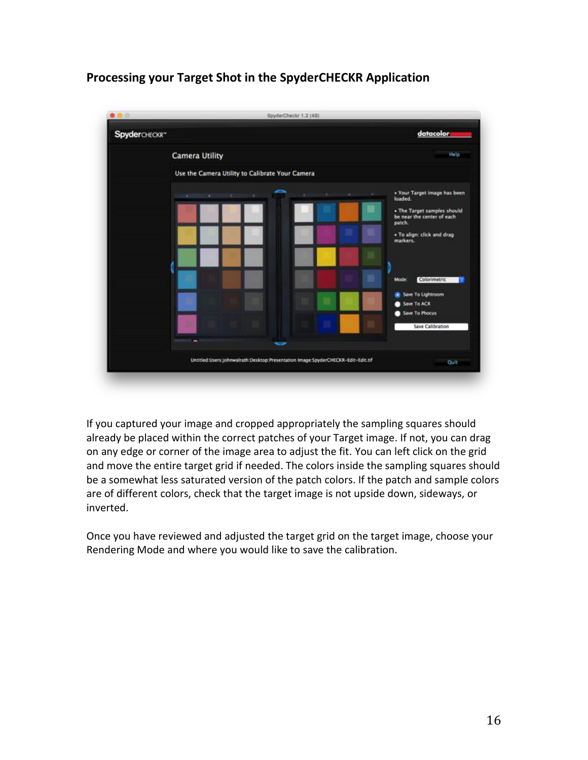### **Processing your Target Shot in the SpyderCHECKR Application**



If you captured your image and cropped appropriately the sampling squares should already be placed within the correct patches of your Target image. If not, you can drag on any edge or corner of the image area to adjust the fit. You can left click on the grid and move the entire target grid if needed. The colors inside the sampling squares should be a somewhat less saturated version of the patch colors. If the patch and sample colors are of different colors, check that the target image is not upside down, sideways, or inverted.

Once you have reviewed and adjusted the target grid on the target image, choose your Rendering Mode and where you would like to save the calibration.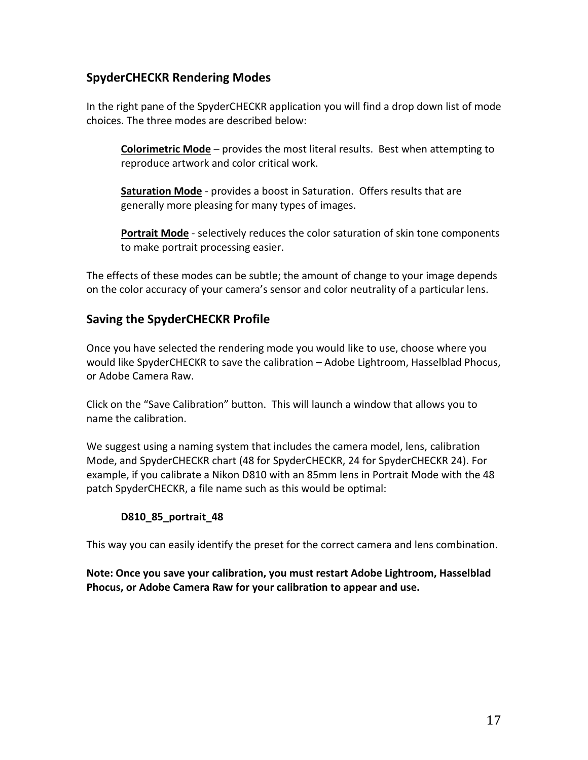### **SpyderCHECKR Rendering Modes**

In the right pane of the SpyderCHECKR application you will find a drop down list of mode choices. The three modes are described below:

**Colorimetric Mode** – provides the most literal results. Best when attempting to reproduce artwork and color critical work.

**Saturation Mode** - provides a boost in Saturation. Offers results that are generally more pleasing for many types of images.

**Portrait Mode** - selectively reduces the color saturation of skin tone components to make portrait processing easier.

The effects of these modes can be subtle; the amount of change to your image depends on the color accuracy of your camera's sensor and color neutrality of a particular lens.

#### **Saving the SpyderCHECKR Profile**

Once you have selected the rendering mode you would like to use, choose where you would like SpyderCHECKR to save the calibration – Adobe Lightroom, Hasselblad Phocus, or Adobe Camera Raw.

Click on the "Save Calibration" button. This will launch a window that allows you to name the calibration.

We suggest using a naming system that includes the camera model, lens, calibration Mode, and SpyderCHECKR chart (48 for SpyderCHECKR, 24 for SpyderCHECKR 24). For example, if you calibrate a Nikon D810 with an 85mm lens in Portrait Mode with the 48 patch SpyderCHECKR, a file name such as this would be optimal:

#### **D810\_85\_portrait\_48**

This way you can easily identify the preset for the correct camera and lens combination.

**Note: Once you save your calibration, you must restart Adobe Lightroom, Hasselblad Phocus, or Adobe Camera Raw for your calibration to appear and use.**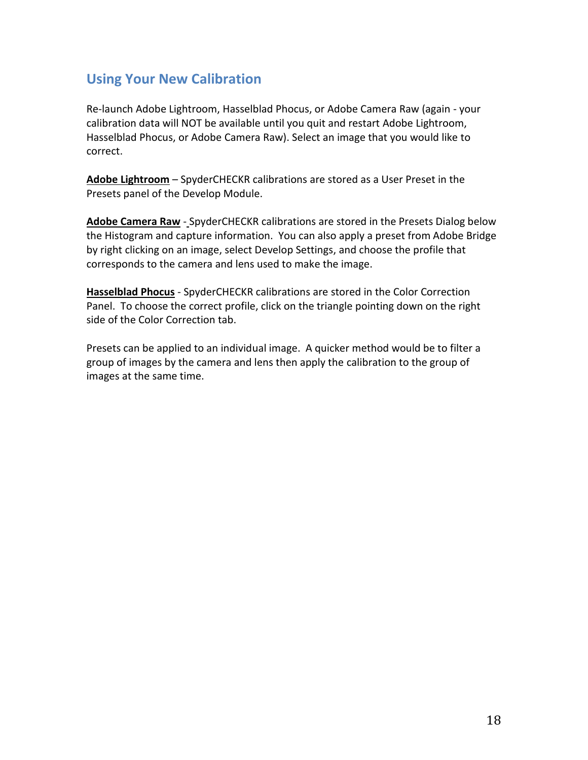### **Using Your New Calibration**

Re-launch Adobe Lightroom, Hasselblad Phocus, or Adobe Camera Raw (again - your calibration data will NOT be available until you quit and restart Adobe Lightroom, Hasselblad Phocus, or Adobe Camera Raw). Select an image that you would like to correct.

**Adobe Lightroom** – SpyderCHECKR calibrations are stored as a User Preset in the Presets panel of the Develop Module.

Adobe Camera Raw - SpyderCHECKR calibrations are stored in the Presets Dialog below the Histogram and capture information. You can also apply a preset from Adobe Bridge by right clicking on an image, select Develop Settings, and choose the profile that corresponds to the camera and lens used to make the image.

**Hasselblad Phocus** - SpyderCHECKR calibrations are stored in the Color Correction Panel. To choose the correct profile, click on the triangle pointing down on the right side of the Color Correction tab.

Presets can be applied to an individual image. A quicker method would be to filter a group of images by the camera and lens then apply the calibration to the group of images at the same time.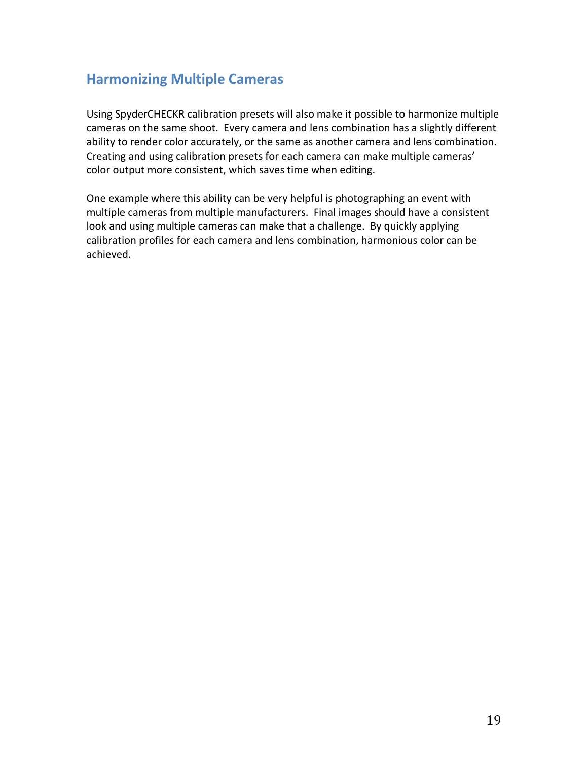### **Harmonizing Multiple Cameras**

Using SpyderCHECKR calibration presets will also make it possible to harmonize multiple cameras on the same shoot. Every camera and lens combination has a slightly different ability to render color accurately, or the same as another camera and lens combination. Creating and using calibration presets for each camera can make multiple cameras' color output more consistent, which saves time when editing.

One example where this ability can be very helpful is photographing an event with multiple cameras from multiple manufacturers. Final images should have a consistent look and using multiple cameras can make that a challenge. By quickly applying calibration profiles for each camera and lens combination, harmonious color can be achieved.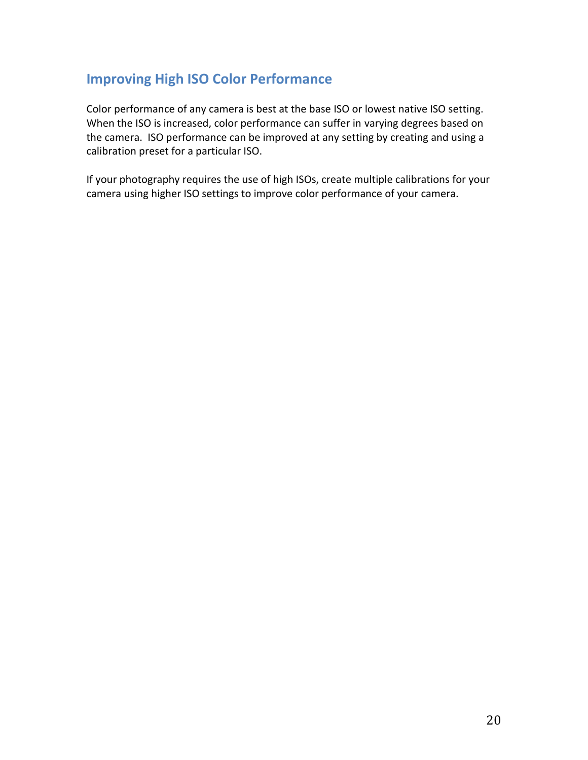### **Improving High ISO Color Performance**

Color performance of any camera is best at the base ISO or lowest native ISO setting. When the ISO is increased, color performance can suffer in varying degrees based on the camera. ISO performance can be improved at any setting by creating and using a calibration preset for a particular ISO.

If your photography requires the use of high ISOs, create multiple calibrations for your camera using higher ISO settings to improve color performance of your camera.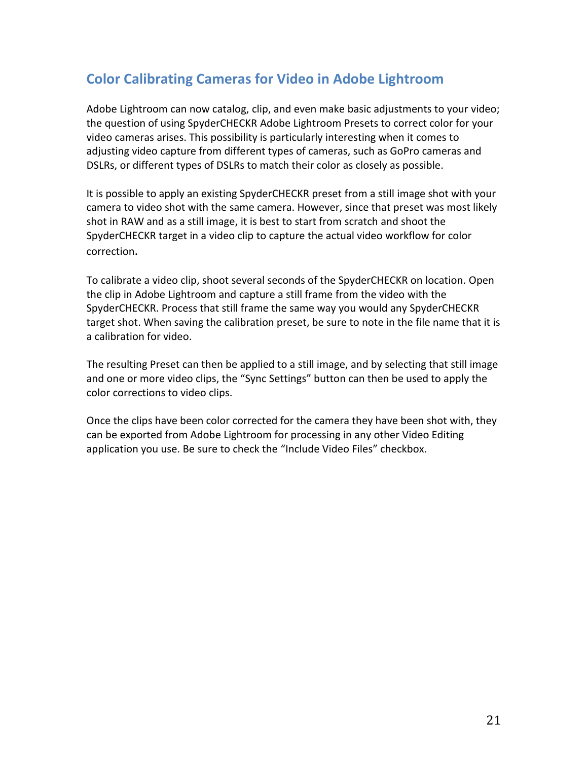# **Color Calibrating Cameras for Video in Adobe Lightroom**

Adobe Lightroom can now catalog, clip, and even make basic adjustments to your video; the question of using SpyderCHECKR Adobe Lightroom Presets to correct color for your video cameras arises. This possibility is particularly interesting when it comes to adjusting video capture from different types of cameras, such as GoPro cameras and DSLRs, or different types of DSLRs to match their color as closely as possible.

It is possible to apply an existing SpyderCHECKR preset from a still image shot with your camera to video shot with the same camera. However, since that preset was most likely shot in RAW and as a still image, it is best to start from scratch and shoot the SpyderCHECKR target in a video clip to capture the actual video workflow for color correction.

To calibrate a video clip, shoot several seconds of the SpyderCHECKR on location. Open the clip in Adobe Lightroom and capture a still frame from the video with the SpyderCHECKR. Process that still frame the same way you would any SpyderCHECKR target shot. When saving the calibration preset, be sure to note in the file name that it is a calibration for video.

The resulting Preset can then be applied to a still image, and by selecting that still image and one or more video clips, the "Sync Settings" button can then be used to apply the color corrections to video clips.

Once the clips have been color corrected for the camera they have been shot with, they can be exported from Adobe Lightroom for processing in any other Video Editing application you use. Be sure to check the "Include Video Files" checkbox.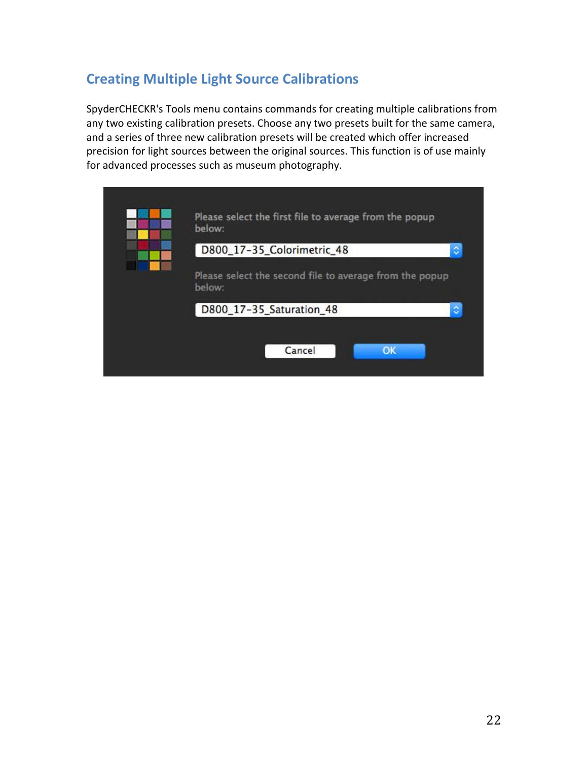# **Creating Multiple Light Source Calibrations**

SpyderCHECKR's Tools menu contains commands for creating multiple calibrations from any two existing calibration presets. Choose any two presets built for the same camera, and a series of three new calibration presets will be created which offer increased precision for light sources between the original sources. This function is of use mainly for advanced processes such as museum photography.

|   | Please select the first file to average from the popup<br>below:  |
|---|-------------------------------------------------------------------|
| ¢ | D800_17-35_Colorimetric_48                                        |
|   | Please select the second file to average from the popup<br>below: |
| ٥ | D800_17-35_Saturation_48                                          |
|   |                                                                   |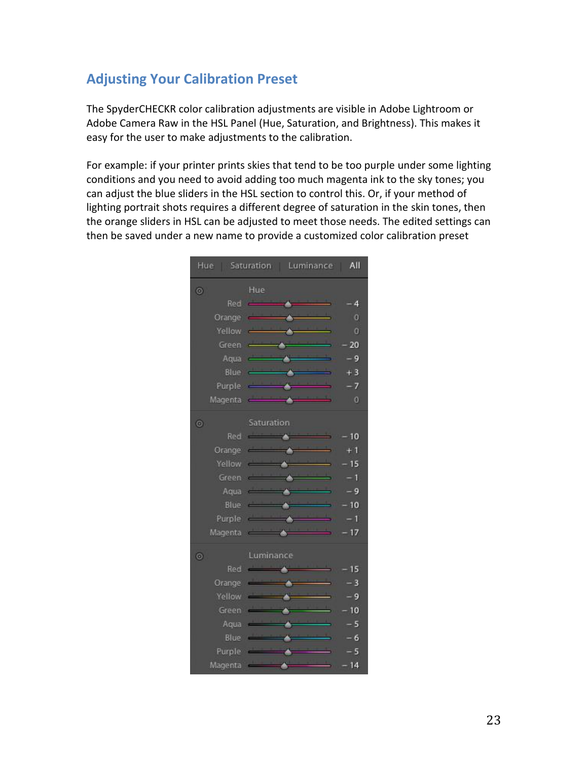## **Adjusting Your Calibration Preset**

The SpyderCHECKR color calibration adjustments are visible in Adobe Lightroom or Adobe Camera Raw in the HSL Panel (Hue, Saturation, and Brightness). This makes it easy for the user to make adjustments to the calibration.

For example: if your printer prints skies that tend to be too purple under some lighting conditions and you need to avoid adding too much magenta ink to the sky tones; you can adjust the blue sliders in the HSL section to control this. Or, if your method of lighting portrait shots requires a different degree of saturation in the skin tones, then the orange sliders in HSL can be adjusted to meet those needs. The edited settings can then be saved under a new name to provide a customized color calibration preset

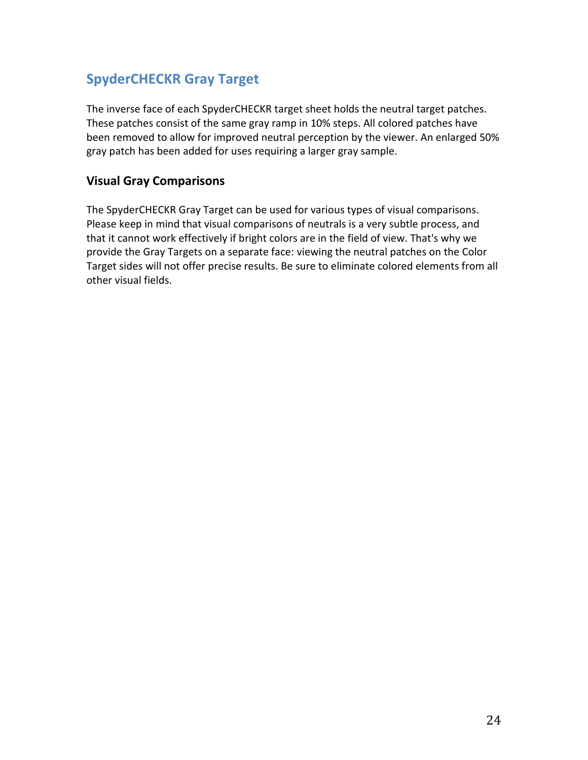# **SpyderCHECKR Gray Target**

The inverse face of each SpyderCHECKR target sheet holds the neutral target patches. These patches consist of the same gray ramp in 10% steps. All colored patches have been removed to allow for improved neutral perception by the viewer. An enlarged 50% gray patch has been added for uses requiring a larger gray sample.

#### **Visual Gray Comparisons**

The SpyderCHECKR Gray Target can be used for various types of visual comparisons. Please keep in mind that visual comparisons of neutrals is a very subtle process, and that it cannot work effectively if bright colors are in the field of view. That's why we provide the Gray Targets on a separate face: viewing the neutral patches on the Color Target sides will not offer precise results. Be sure to eliminate colored elements from all other visual fields.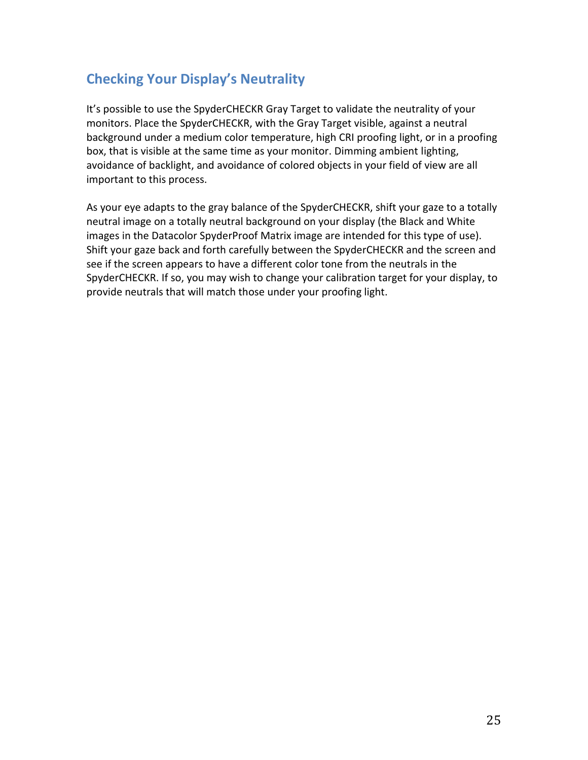## **Checking Your Display's Neutrality**

It's possible to use the SpyderCHECKR Gray Target to validate the neutrality of your monitors. Place the SpyderCHECKR, with the Gray Target visible, against a neutral background under a medium color temperature, high CRI proofing light, or in a proofing box, that is visible at the same time as your monitor. Dimming ambient lighting, avoidance of backlight, and avoidance of colored objects in your field of view are all important to this process.

As your eye adapts to the gray balance of the SpyderCHECKR, shift your gaze to a totally neutral image on a totally neutral background on your display (the Black and White images in the Datacolor SpyderProof Matrix image are intended for this type of use). Shift your gaze back and forth carefully between the SpyderCHECKR and the screen and see if the screen appears to have a different color tone from the neutrals in the SpyderCHECKR. If so, you may wish to change your calibration target for your display, to provide neutrals that will match those under your proofing light.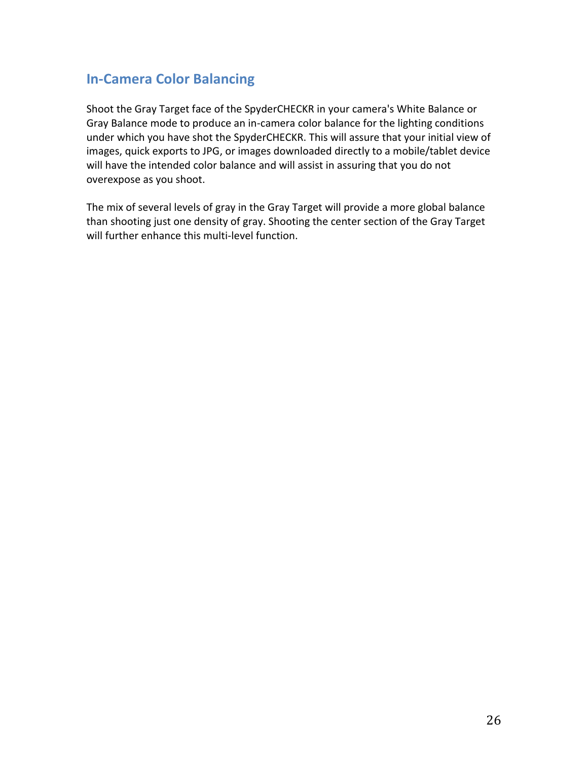### **In-Camera Color Balancing**

Shoot the Gray Target face of the SpyderCHECKR in your camera's White Balance or Gray Balance mode to produce an in-camera color balance for the lighting conditions under which you have shot the SpyderCHECKR. This will assure that your initial view of images, quick exports to JPG, or images downloaded directly to a mobile/tablet device will have the intended color balance and will assist in assuring that you do not overexpose as you shoot.

The mix of several levels of gray in the Gray Target will provide a more global balance than shooting just one density of gray. Shooting the center section of the Gray Target will further enhance this multi-level function.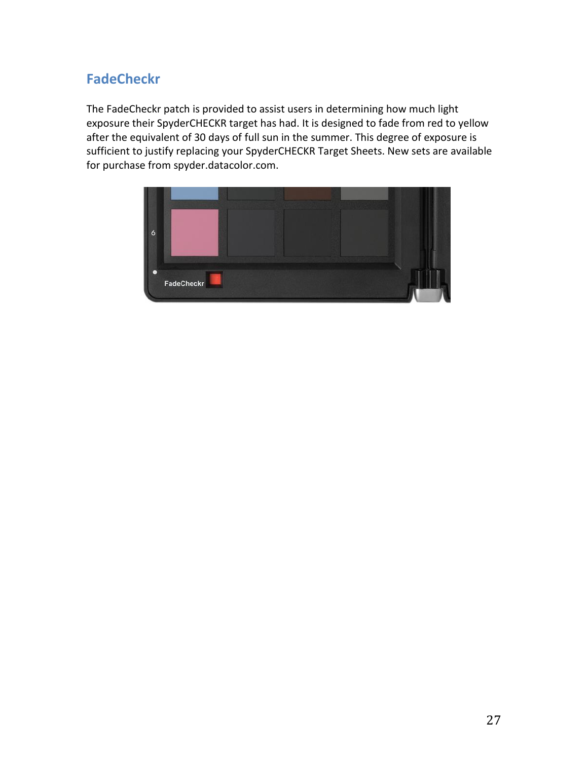# **FadeCheckr**

The FadeCheckr patch is provided to assist users in determining how much light exposure their SpyderCHECKR target has had. It is designed to fade from red to yellow after the equivalent of 30 days of full sun in the summer. This degree of exposure is sufficient to justify replacing your SpyderCHECKR Target Sheets. New sets are available for purchase from spyder.datacolor.com.

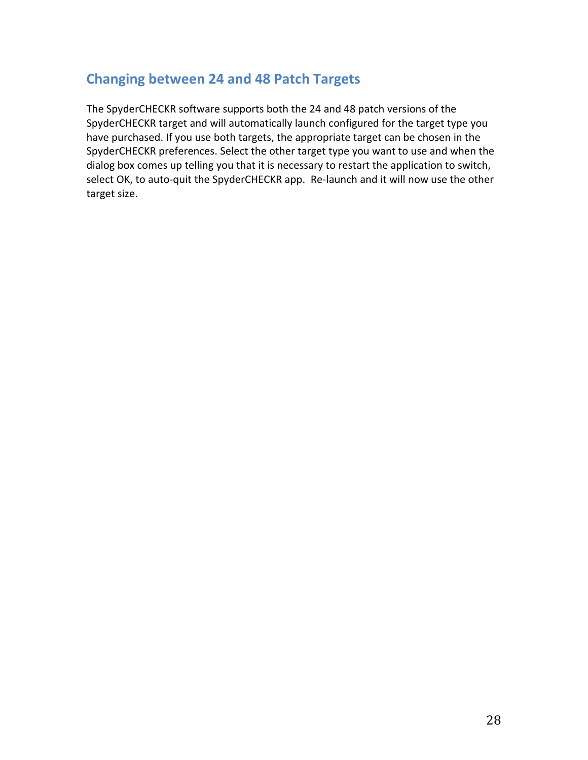### **Changing between 24 and 48 Patch Targets**

The SpyderCHECKR software supports both the 24 and 48 patch versions of the SpyderCHECKR target and will automatically launch configured for the target type you have purchased. If you use both targets, the appropriate target can be chosen in the SpyderCHECKR preferences. Select the other target type you want to use and when the dialog box comes up telling you that it is necessary to restart the application to switch, select OK, to auto-quit the SpyderCHECKR app. Re-launch and it will now use the other target size.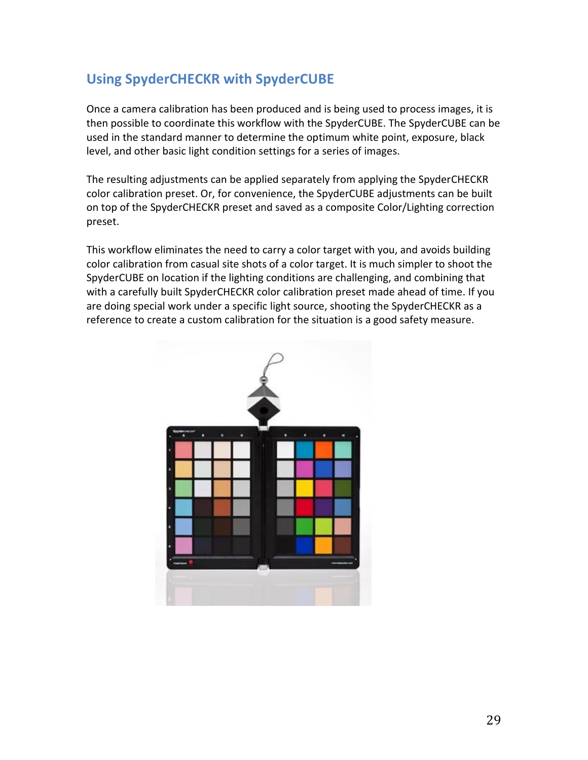## **Using SpyderCHECKR with SpyderCUBE**

Once a camera calibration has been produced and is being used to process images, it is then possible to coordinate this workflow with the SpyderCUBE. The SpyderCUBE can be used in the standard manner to determine the optimum white point, exposure, black level, and other basic light condition settings for a series of images.

The resulting adjustments can be applied separately from applying the SpyderCHECKR color calibration preset. Or, for convenience, the SpyderCUBE adjustments can be built on top of the SpyderCHECKR preset and saved as a composite Color/Lighting correction preset.

This workflow eliminates the need to carry a color target with you, and avoids building color calibration from casual site shots of a color target. It is much simpler to shoot the SpyderCUBE on location if the lighting conditions are challenging, and combining that with a carefully built SpyderCHECKR color calibration preset made ahead of time. If you are doing special work under a specific light source, shooting the SpyderCHECKR as a reference to create a custom calibration for the situation is a good safety measure.

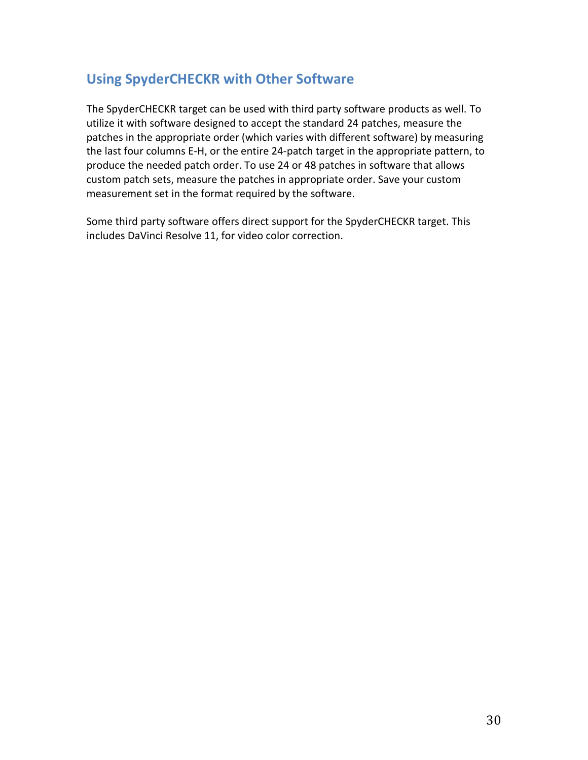### **Using SpyderCHECKR with Other Software**

The SpyderCHECKR target can be used with third party software products as well. To utilize it with software designed to accept the standard 24 patches, measure the patches in the appropriate order (which varies with different software) by measuring the last four columns E-H, or the entire 24-patch target in the appropriate pattern, to produce the needed patch order. To use 24 or 48 patches in software that allows custom patch sets, measure the patches in appropriate order. Save your custom measurement set in the format required by the software.

Some third party software offers direct support for the SpyderCHECKR target. This includes DaVinci Resolve 11, for video color correction.